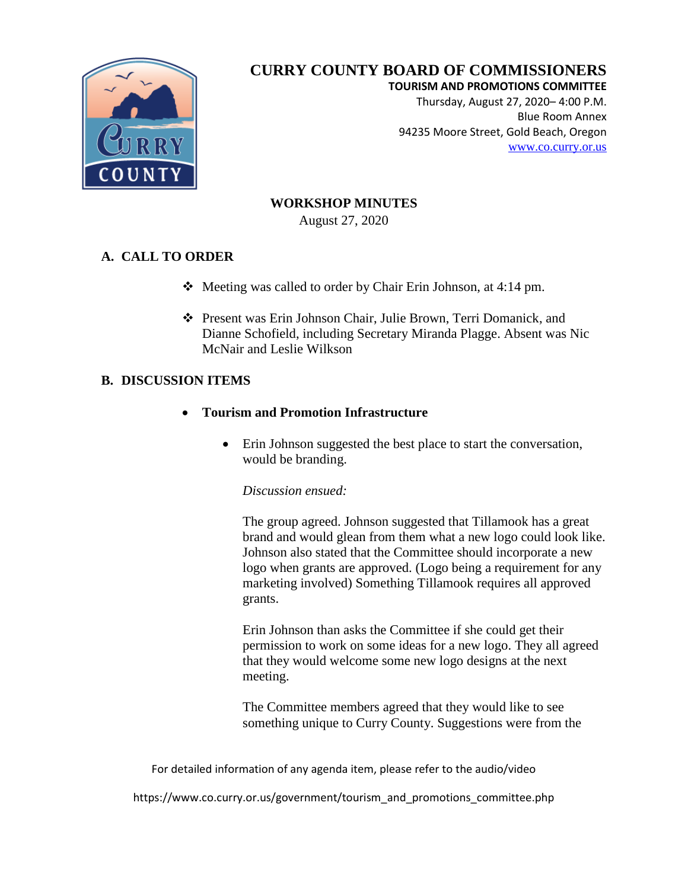

**TOURISM AND PROMOTIONS COMMITTEE**

Thursday, August 27, 2020– 4:00 P.M. Blue Room Annex 94235 Moore Street, Gold Beach, Oregon [www.co.curry.or.us](http://www.co.curry.or.us/)

#### **WORKSHOP MINUTES**

August 27, 2020

### **A. CALL TO ORDER**

- $\triangleleft$  Meeting was called to order by Chair Erin Johnson, at 4:14 pm.
- Present was Erin Johnson Chair, Julie Brown, Terri Domanick, and Dianne Schofield, including Secretary Miranda Plagge. Absent was Nic McNair and Leslie Wilkson

#### **B. DISCUSSION ITEMS**

- **Tourism and Promotion Infrastructure** 
	- Erin Johnson suggested the best place to start the conversation, would be branding.

#### *Discussion ensued:*

The group agreed. Johnson suggested that Tillamook has a great brand and would glean from them what a new logo could look like. Johnson also stated that the Committee should incorporate a new logo when grants are approved. (Logo being a requirement for any marketing involved) Something Tillamook requires all approved grants.

Erin Johnson than asks the Committee if she could get their permission to work on some ideas for a new logo. They all agreed that they would welcome some new logo designs at the next meeting.

The Committee members agreed that they would like to see something unique to Curry County. Suggestions were from the

For detailed information of any agenda item, please refer to the audio/video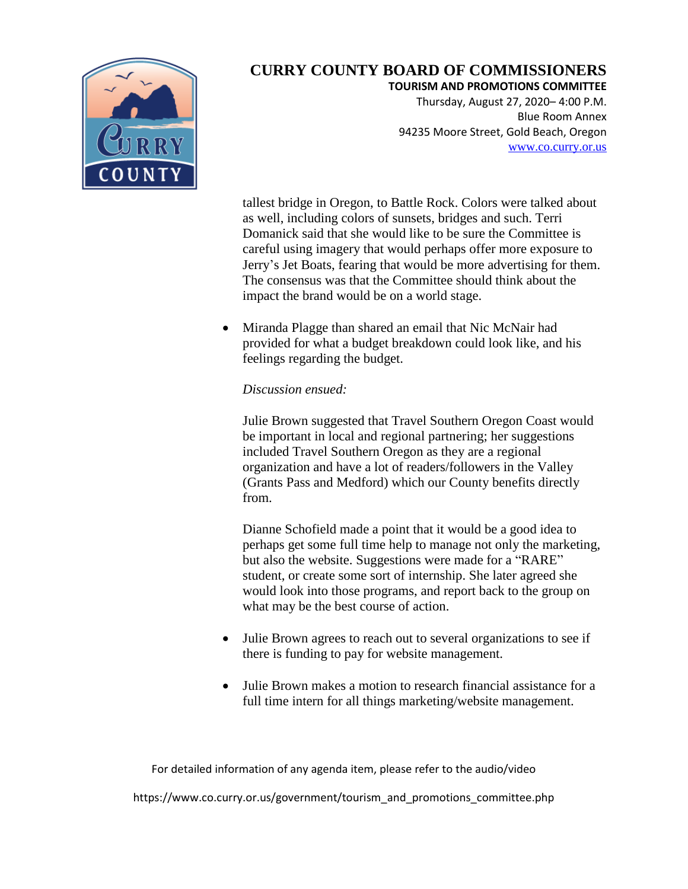

**TOURISM AND PROMOTIONS COMMITTEE**

Thursday, August 27, 2020– 4:00 P.M. Blue Room Annex 94235 Moore Street, Gold Beach, Oregon [www.co.curry.or.us](http://www.co.curry.or.us/)

tallest bridge in Oregon, to Battle Rock. Colors were talked about as well, including colors of sunsets, bridges and such. Terri Domanick said that she would like to be sure the Committee is careful using imagery that would perhaps offer more exposure to Jerry's Jet Boats, fearing that would be more advertising for them. The consensus was that the Committee should think about the impact the brand would be on a world stage.

• Miranda Plagge than shared an email that Nic McNair had provided for what a budget breakdown could look like, and his feelings regarding the budget.

*Discussion ensued:*

Julie Brown suggested that Travel Southern Oregon Coast would be important in local and regional partnering; her suggestions included Travel Southern Oregon as they are a regional organization and have a lot of readers/followers in the Valley (Grants Pass and Medford) which our County benefits directly from.

Dianne Schofield made a point that it would be a good idea to perhaps get some full time help to manage not only the marketing, but also the website. Suggestions were made for a "RARE" student, or create some sort of internship. She later agreed she would look into those programs, and report back to the group on what may be the best course of action.

- Julie Brown agrees to reach out to several organizations to see if there is funding to pay for website management.
- Julie Brown makes a motion to research financial assistance for a full time intern for all things marketing/website management.

For detailed information of any agenda item, please refer to the audio/video https://www.co.curry.or.us/government/tourism\_and\_promotions\_committee.php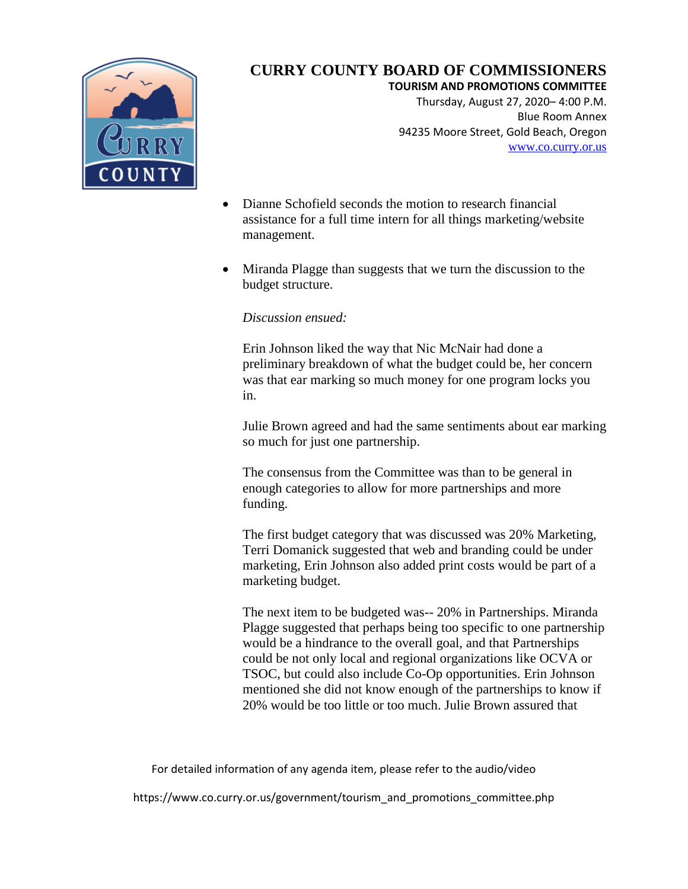

**TOURISM AND PROMOTIONS COMMITTEE**

Thursday, August 27, 2020– 4:00 P.M. Blue Room Annex 94235 Moore Street, Gold Beach, Oregon [www.co.curry.or.us](http://www.co.curry.or.us/)

- Dianne Schofield seconds the motion to research financial assistance for a full time intern for all things marketing/website management.
- Miranda Plagge than suggests that we turn the discussion to the budget structure.

#### *Discussion ensued:*

Erin Johnson liked the way that Nic McNair had done a preliminary breakdown of what the budget could be, her concern was that ear marking so much money for one program locks you in.

Julie Brown agreed and had the same sentiments about ear marking so much for just one partnership.

The consensus from the Committee was than to be general in enough categories to allow for more partnerships and more funding.

The first budget category that was discussed was 20% Marketing, Terri Domanick suggested that web and branding could be under marketing, Erin Johnson also added print costs would be part of a marketing budget.

The next item to be budgeted was-- 20% in Partnerships. Miranda Plagge suggested that perhaps being too specific to one partnership would be a hindrance to the overall goal, and that Partnerships could be not only local and regional organizations like OCVA or TSOC, but could also include Co-Op opportunities. Erin Johnson mentioned she did not know enough of the partnerships to know if 20% would be too little or too much. Julie Brown assured that

For detailed information of any agenda item, please refer to the audio/video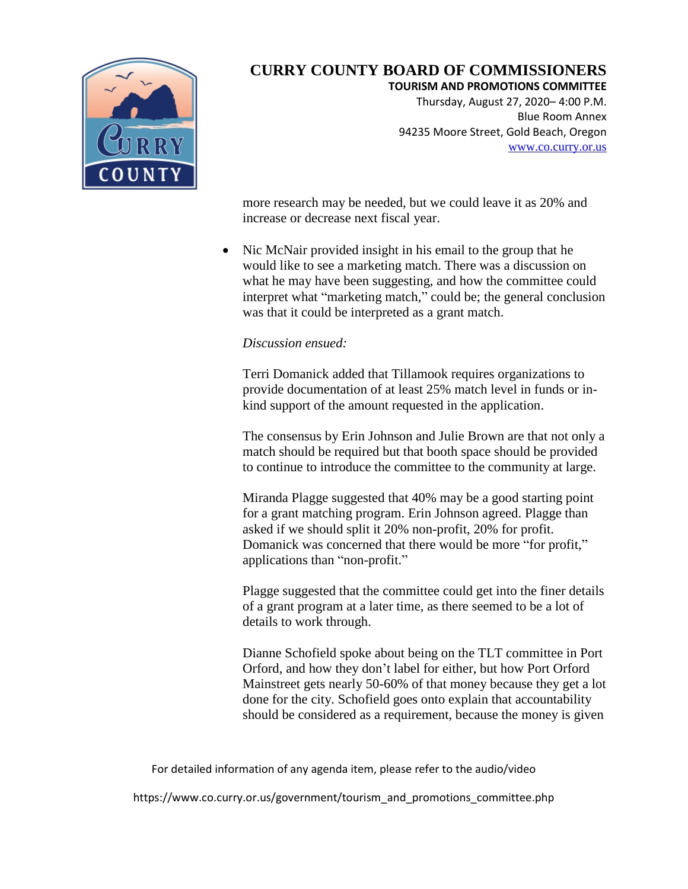

**TOURISM AND PROMOTIONS COMMITTEE**

Thursday, August 27, 2020– 4:00 P.M. Blue Room Annex 94235 Moore Street, Gold Beach, Oregon [www.co.curry.or.us](http://www.co.curry.or.us/)

more research may be needed, but we could leave it as 20% and increase or decrease next fiscal year.

• Nic McNair provided insight in his email to the group that he would like to see a marketing match. There was a discussion on what he may have been suggesting, and how the committee could interpret what "marketing match," could be; the general conclusion was that it could be interpreted as a grant match.

#### *Discussion ensued:*

Terri Domanick added that Tillamook requires organizations to provide documentation of at least 25% match level in funds or inkind support of the amount requested in the application.

The consensus by Erin Johnson and Julie Brown are that not only a match should be required but that booth space should be provided to continue to introduce the committee to the community at large.

Miranda Plagge suggested that 40% may be a good starting point for a grant matching program. Erin Johnson agreed. Plagge than asked if we should split it 20% non-profit, 20% for profit. Domanick was concerned that there would be more "for profit," applications than "non-profit."

Plagge suggested that the committee could get into the finer details of a grant program at a later time, as there seemed to be a lot of details to work through.

Dianne Schofield spoke about being on the TLT committee in Port Orford, and how they don't label for either, but how Port Orford Mainstreet gets nearly 50-60% of that money because they get a lot done for the city. Schofield goes onto explain that accountability should be considered as a requirement, because the money is given

For detailed information of any agenda item, please refer to the audio/video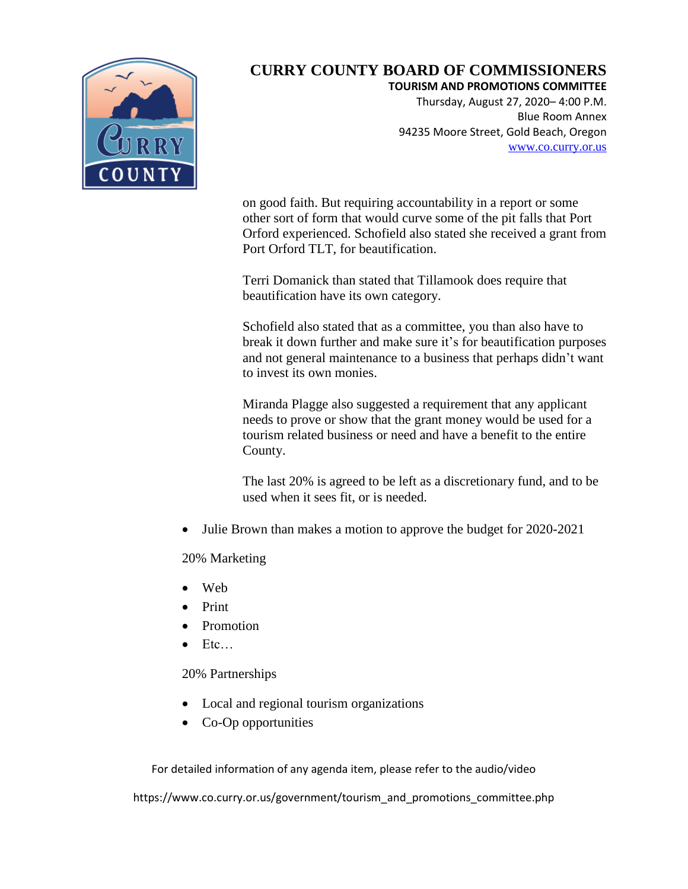

**TOURISM AND PROMOTIONS COMMITTEE**

Thursday, August 27, 2020– 4:00 P.M. Blue Room Annex 94235 Moore Street, Gold Beach, Oregon [www.co.curry.or.us](http://www.co.curry.or.us/)

on good faith. But requiring accountability in a report or some other sort of form that would curve some of the pit falls that Port Orford experienced. Schofield also stated she received a grant from Port Orford TLT, for beautification.

Terri Domanick than stated that Tillamook does require that beautification have its own category.

Schofield also stated that as a committee, you than also have to break it down further and make sure it's for beautification purposes and not general maintenance to a business that perhaps didn't want to invest its own monies.

Miranda Plagge also suggested a requirement that any applicant needs to prove or show that the grant money would be used for a tourism related business or need and have a benefit to the entire County.

The last 20% is agreed to be left as a discretionary fund, and to be used when it sees fit, or is needed.

Julie Brown than makes a motion to approve the budget for 2020-2021

20% Marketing

- Web
- Print
- Promotion
- Etc…

20% Partnerships

- Local and regional tourism organizations
- Co-Op opportunities

For detailed information of any agenda item, please refer to the audio/video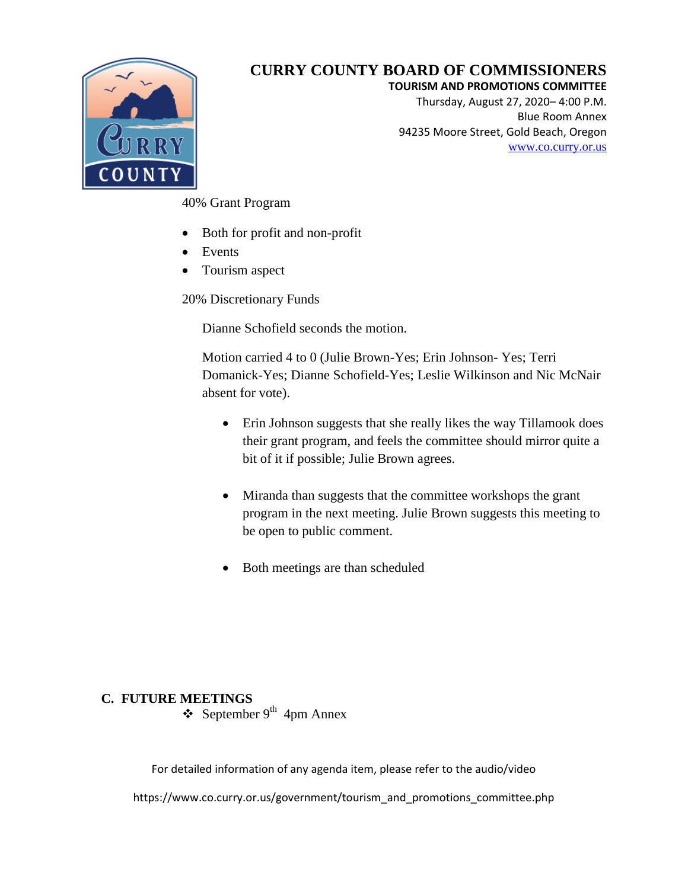

**TOURISM AND PROMOTIONS COMMITTEE**

Thursday, August 27, 2020– 4:00 P.M. Blue Room Annex 94235 Moore Street, Gold Beach, Oregon [www.co.curry.or.us](http://www.co.curry.or.us/)

40% Grant Program

- Both for profit and non-profit
- Events
- Tourism aspect

20% Discretionary Funds

Dianne Schofield seconds the motion.

Motion carried 4 to 0 (Julie Brown-Yes; Erin Johnson- Yes; Terri Domanick-Yes; Dianne Schofield-Yes; Leslie Wilkinson and Nic McNair absent for vote).

- Erin Johnson suggests that she really likes the way Tillamook does their grant program, and feels the committee should mirror quite a bit of it if possible; Julie Brown agrees.
- Miranda than suggests that the committee workshops the grant program in the next meeting. Julie Brown suggests this meeting to be open to public comment.
- Both meetings are than scheduled

#### **C. FUTURE MEETINGS**

 $\div$  September 9<sup>th</sup> 4pm Annex

For detailed information of any agenda item, please refer to the audio/video